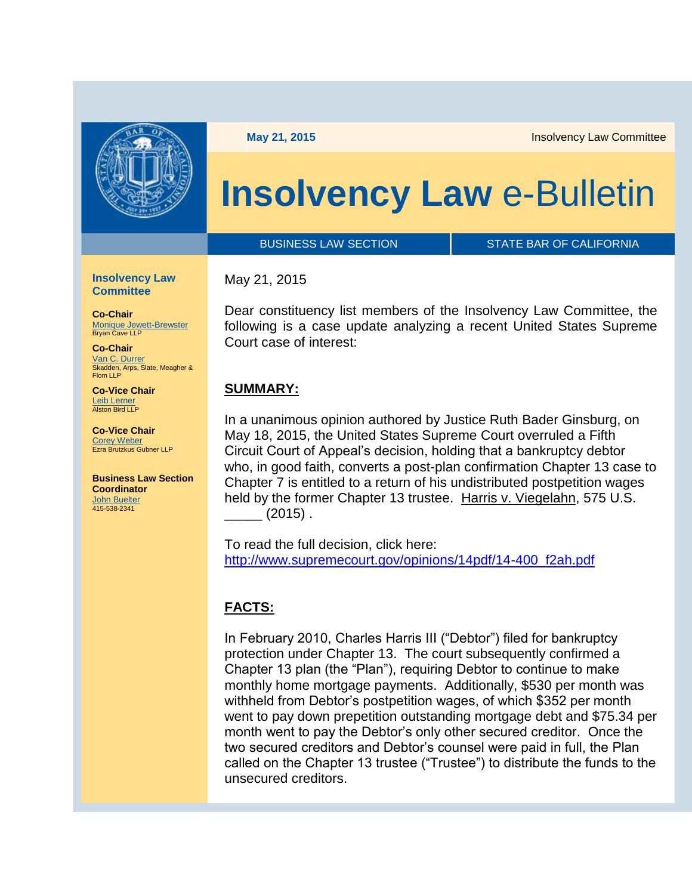

**May 21, 2015 Insolvency Law Committee** 

# **Insolvency Law** e-Bulletin

BUSINESS LAW SECTION **STATE BAR OF CALIFORNIA** 

**Insolvency Law Committee** 

**Co-Chair** [Monique Jewett-Brewster](http://members.calbar.ca.gov/fal/Member/Detail/217792) Bryan Cave LLP

**Co-Chair** [Van C. Durrer](http://members.calbar.ca.gov/fal/Member/Detail/226693) Skadden, Arps, Slate, Meagher & Flom LLP

**Co-Vice Chair** Leib Lerner<br>Alston Bird LLP

**Co-Vice Chair** [Corey Weber](http://members.calbar.ca.gov/fal/Member/Detail/205912) Ezra Brutzkus Gubner LLP

**Business Law Section Coordinator**  [John Buelter](mailto:john.buelter@calbar.ca.gov) 415-538-2341

#### May 21, 2015

Dear constituency list members of the Insolvency Law Committee, the following is a case update analyzing a recent United States Supreme Court case of interest:

#### **SUMMARY:**

In a unanimous opinion authored by Justice Ruth Bader Ginsburg, on May 18, 2015, the United States Supreme Court overruled a Fifth Circuit Court of Appeal's decision, holding that a bankruptcy debtor who, in good faith, converts a post-plan confirmation Chapter 13 case to Chapter 7 is entitled to a return of his undistributed postpetition wages held by the former Chapter 13 trustee. Harris v. Viegelahn, 575 U.S.  $\frac{1}{2015}$ .

To read the full decision, click here: [http://www.supremecourt.gov/opinions/14pdf/14-400\\_f2ah.pdf](http://www.supremecourt.gov/opinions/14pdf/14-400_f2ah.pdf)

## **FACTS:**

In February 2010, Charles Harris III ("Debtor") filed for bankruptcy protection under Chapter 13. The court subsequently confirmed a Chapter 13 plan (the "Plan"), requiring Debtor to continue to make monthly home mortgage payments. Additionally, \$530 per month was withheld from Debtor's postpetition wages, of which \$352 per month went to pay down prepetition outstanding mortgage debt and \$75.34 per month went to pay the Debtor's only other secured creditor. Once the two secured creditors and Debtor's counsel were paid in full, the Plan called on the Chapter 13 trustee ("Trustee") to distribute the funds to the unsecured creditors.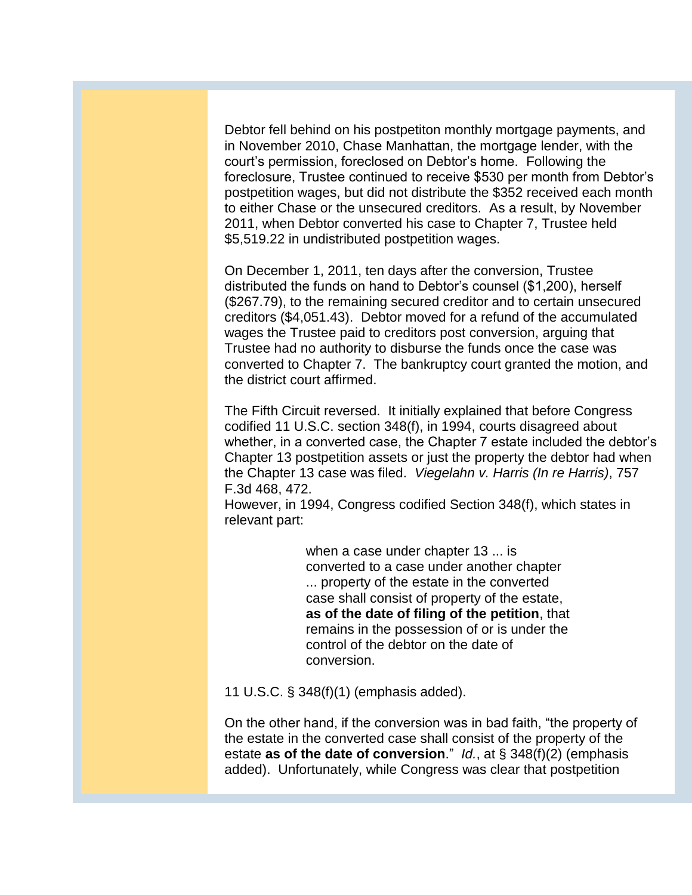Debtor fell behind on his postpetiton monthly mortgage payments, and in November 2010, Chase Manhattan, the mortgage lender, with the court's permission, foreclosed on Debtor's home. Following the foreclosure, Trustee continued to receive \$530 per month from Debtor's postpetition wages, but did not distribute the \$352 received each month to either Chase or the unsecured creditors. As a result, by November 2011, when Debtor converted his case to Chapter 7, Trustee held \$5,519.22 in undistributed postpetition wages.

On December 1, 2011, ten days after the conversion, Trustee distributed the funds on hand to Debtor's counsel (\$1,200), herself (\$267.79), to the remaining secured creditor and to certain unsecured creditors (\$4,051.43). Debtor moved for a refund of the accumulated wages the Trustee paid to creditors post conversion, arguing that Trustee had no authority to disburse the funds once the case was converted to Chapter 7. The bankruptcy court granted the motion, and the district court affirmed.

The Fifth Circuit reversed. It initially explained that before Congress codified 11 U.S.C. section 348(f), in 1994, courts disagreed about whether, in a converted case, the Chapter 7 estate included the debtor's Chapter 13 postpetition assets or just the property the debtor had when the Chapter 13 case was filed. *Viegelahn v. Harris (In re Harris)*, 757 F.3d 468, 472.

However, in 1994, Congress codified Section 348(f), which states in relevant part:

> when a case under chapter 13 ... is converted to a case under another chapter ... property of the estate in the converted case shall consist of property of the estate, **as of the date of filing of the petition**, that remains in the possession of or is under the control of the debtor on the date of conversion.

11 U.S.C. § 348(f)(1) (emphasis added).

On the other hand, if the conversion was in bad faith, "the property of the estate in the converted case shall consist of the property of the estate **as of the date of conversion**." *Id.*, at § 348(f)(2) (emphasis added). Unfortunately, while Congress was clear that postpetition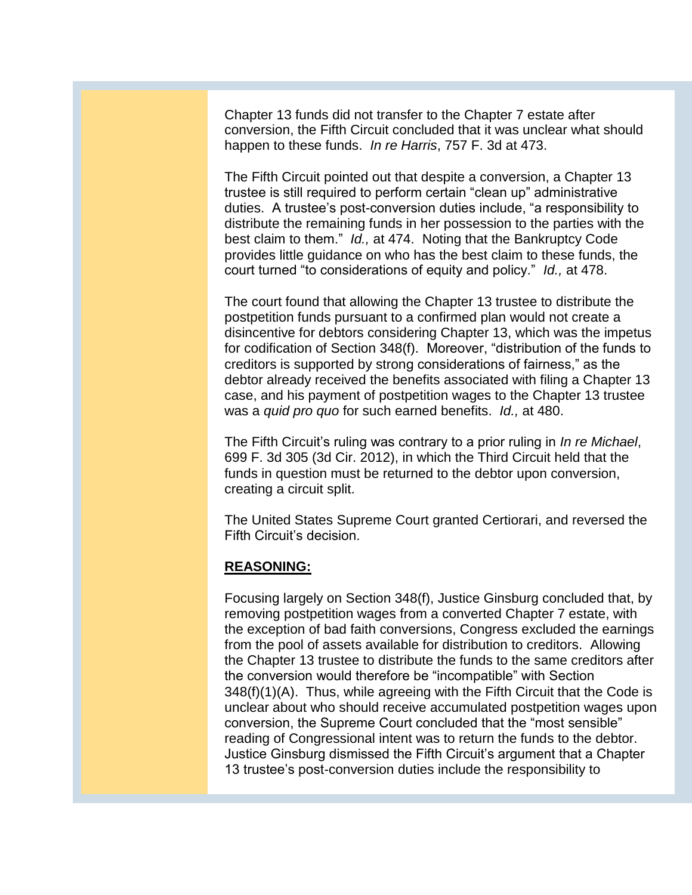Chapter 13 funds did not transfer to the Chapter 7 estate after conversion, the Fifth Circuit concluded that it was unclear what should happen to these funds. *In re Harris*, 757 F. 3d at 473.

The Fifth Circuit pointed out that despite a conversion, a Chapter 13 trustee is still required to perform certain "clean up" administrative duties. A trustee's post-conversion duties include, "a responsibility to distribute the remaining funds in her possession to the parties with the best claim to them." *Id.,* at 474. Noting that the Bankruptcy Code provides little guidance on who has the best claim to these funds, the court turned "to considerations of equity and policy." *Id.,* at 478.

The court found that allowing the Chapter 13 trustee to distribute the postpetition funds pursuant to a confirmed plan would not create a disincentive for debtors considering Chapter 13, which was the impetus for codification of Section 348(f). Moreover, "distribution of the funds to creditors is supported by strong considerations of fairness," as the debtor already received the benefits associated with filing a Chapter 13 case, and his payment of postpetition wages to the Chapter 13 trustee was a *quid pro quo* for such earned benefits. *Id.,* at 480.

The Fifth Circuit's ruling was contrary to a prior ruling in *In re Michael*, 699 F. 3d 305 (3d Cir. 2012), in which the Third Circuit held that the funds in question must be returned to the debtor upon conversion, creating a circuit split.

The United States Supreme Court granted Certiorari, and reversed the Fifth Circuit's decision.

### **REASONING:**

Focusing largely on Section 348(f), Justice Ginsburg concluded that, by removing postpetition wages from a converted Chapter 7 estate, with the exception of bad faith conversions, Congress excluded the earnings from the pool of assets available for distribution to creditors. Allowing the Chapter 13 trustee to distribute the funds to the same creditors after the conversion would therefore be "incompatible" with Section 348(f)(1)(A). Thus, while agreeing with the Fifth Circuit that the Code is unclear about who should receive accumulated postpetition wages upon conversion, the Supreme Court concluded that the "most sensible" reading of Congressional intent was to return the funds to the debtor. Justice Ginsburg dismissed the Fifth Circuit's argument that a Chapter 13 trustee's post-conversion duties include the responsibility to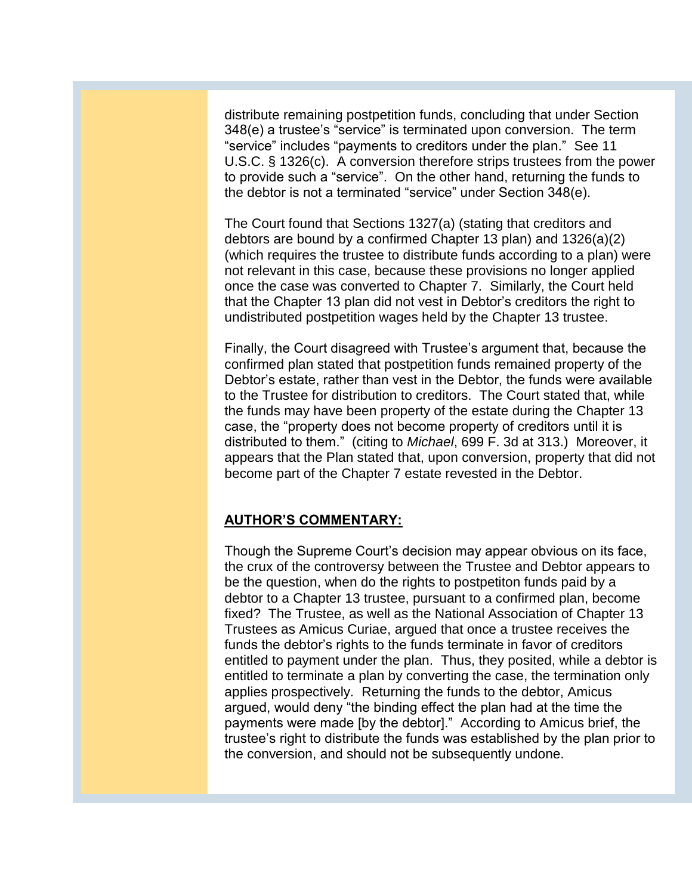distribute remaining postpetition funds, concluding that under Section 348(e) a trustee's "service" is terminated upon conversion. The term "service" includes "payments to creditors under the plan." See 11 U.S.C. § 1326(c). A conversion therefore strips trustees from the power to provide such a "service". On the other hand, returning the funds to the debtor is not a terminated "service" under Section 348(e).

The Court found that Sections 1327(a) (stating that creditors and debtors are bound by a confirmed Chapter 13 plan) and 1326(a)(2) (which requires the trustee to distribute funds according to a plan) were not relevant in this case, because these provisions no longer applied once the case was converted to Chapter 7. Similarly, the Court held that the Chapter 13 plan did not vest in Debtor's creditors the right to undistributed postpetition wages held by the Chapter 13 trustee.

Finally, the Court disagreed with Trustee's argument that, because the confirmed plan stated that postpetition funds remained property of the Debtor's estate, rather than vest in the Debtor, the funds were available to the Trustee for distribution to creditors. The Court stated that, while the funds may have been property of the estate during the Chapter 13 case, the "property does not become property of creditors until it is distributed to them." (citing to *Michael*, 699 F. 3d at 313.) Moreover, it appears that the Plan stated that, upon conversion, property that did not become part of the Chapter 7 estate revested in the Debtor.

### **AUTHOR'S COMMENTARY:**

Though the Supreme Court's decision may appear obvious on its face, the crux of the controversy between the Trustee and Debtor appears to be the question, when do the rights to postpetiton funds paid by a debtor to a Chapter 13 trustee, pursuant to a confirmed plan, become fixed? The Trustee, as well as the National Association of Chapter 13 Trustees as Amicus Curiae, argued that once a trustee receives the funds the debtor's rights to the funds terminate in favor of creditors entitled to payment under the plan. Thus, they posited, while a debtor is entitled to terminate a plan by converting the case, the termination only applies prospectively. Returning the funds to the debtor, Amicus argued, would deny "the binding effect the plan had at the time the payments were made [by the debtor]." According to Amicus brief, the trustee's right to distribute the funds was established by the plan prior to the conversion, and should not be subsequently undone.